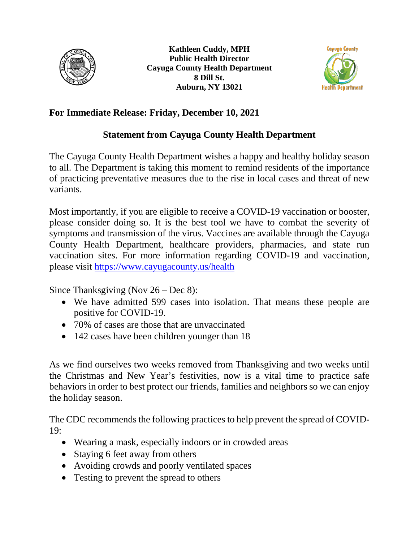



## **For Immediate Release: Friday, December 10, 2021**

## **Statement from Cayuga County Health Department**

The Cayuga County Health Department wishes a happy and healthy holiday season to all. The Department is taking this moment to remind residents of the importance of practicing preventative measures due to the rise in local cases and threat of new variants.

Most importantly, if you are eligible to receive a COVID-19 vaccination or booster, please consider doing so. It is the best tool we have to combat the severity of symptoms and transmission of the virus. Vaccines are available through the Cayuga County Health Department, healthcare providers, pharmacies, and state run vaccination sites. For more information regarding COVID-19 and vaccination, please visit<https://www.cayugacounty.us/health>

Since Thanksgiving (Nov 26 – Dec 8):

- We have admitted 599 cases into isolation. That means these people are positive for COVID-19.
- 70% of cases are those that are unvaccinated
- 142 cases have been children younger than 18

As we find ourselves two weeks removed from Thanksgiving and two weeks until the Christmas and New Year's festivities, now is a vital time to practice safe behaviors in order to best protect our friends, families and neighbors so we can enjoy the holiday season.

The CDC recommends the following practices to help prevent the spread of COVID-19:

- Wearing a mask, especially indoors or in crowded areas
- Staying 6 feet away from others
- Avoiding crowds and poorly ventilated spaces
- Testing to prevent the spread to others